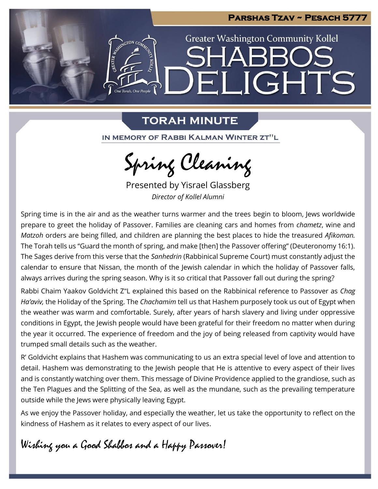

## **TORAH MINUTE**

IN MEMORY OF RABBI KALMAN WINTER ZT"L

Spring Cleaning

Presented by Yisrael Glassberg *Director of Kollel Alumni*

Spring time is in the air and as the weather turns warmer and the trees begin to bloom, Jews worldwide prepare to greet the holiday of Passover. Families are cleaning cars and homes from *chametz*, wine and *Matzoh* orders are being filled, and children are planning the best places to hide the treasured *Afikoman.*  The Torah tells us "Guard the month of spring, and make [then] the Passover offering" (Deuteronomy 16:1). The Sages derive from this verse that the *Sanhedrin* (Rabbinical Supreme Court) must constantly adjust the calendar to ensure that Nissan, the month of the Jewish calendar in which the holiday of Passover falls, always arrives during the spring season. Why is it so critical that Passover fall out during the spring?

Rabbi Chaim Yaakov Goldvicht Z"L explained this based on the Rabbinical reference to Passover as *Chag Ha'aviv,* the Holiday of the Spring. The *Chachamim* tell us that Hashem purposely took us out of Egypt when the weather was warm and comfortable. Surely, after years of harsh slavery and living under oppressive conditions in Egypt, the Jewish people would have been grateful for their freedom no matter when during the year it occurred. The experience of freedom and the joy of being released from captivity would have trumped small details such as the weather.

R' Goldvicht explains that Hashem was communicating to us an extra special level of love and attention to detail. Hashem was demonstrating to the Jewish people that He is attentive to every aspect of their lives and is constantly watching over them. This message of Divine Providence applied to the grandiose, such as the Ten Plagues and the Splitting of the Sea, as well as the mundane, such as the prevailing temperature outside while the Jews were physically leaving Egypt.

As we enjoy the Passover holiday, and especially the weather, let us take the opportunity to reflect on the kindness of Hashem as it relates to every aspect of our lives.

Wishing you a Good Shabbos and a Happy Passover!